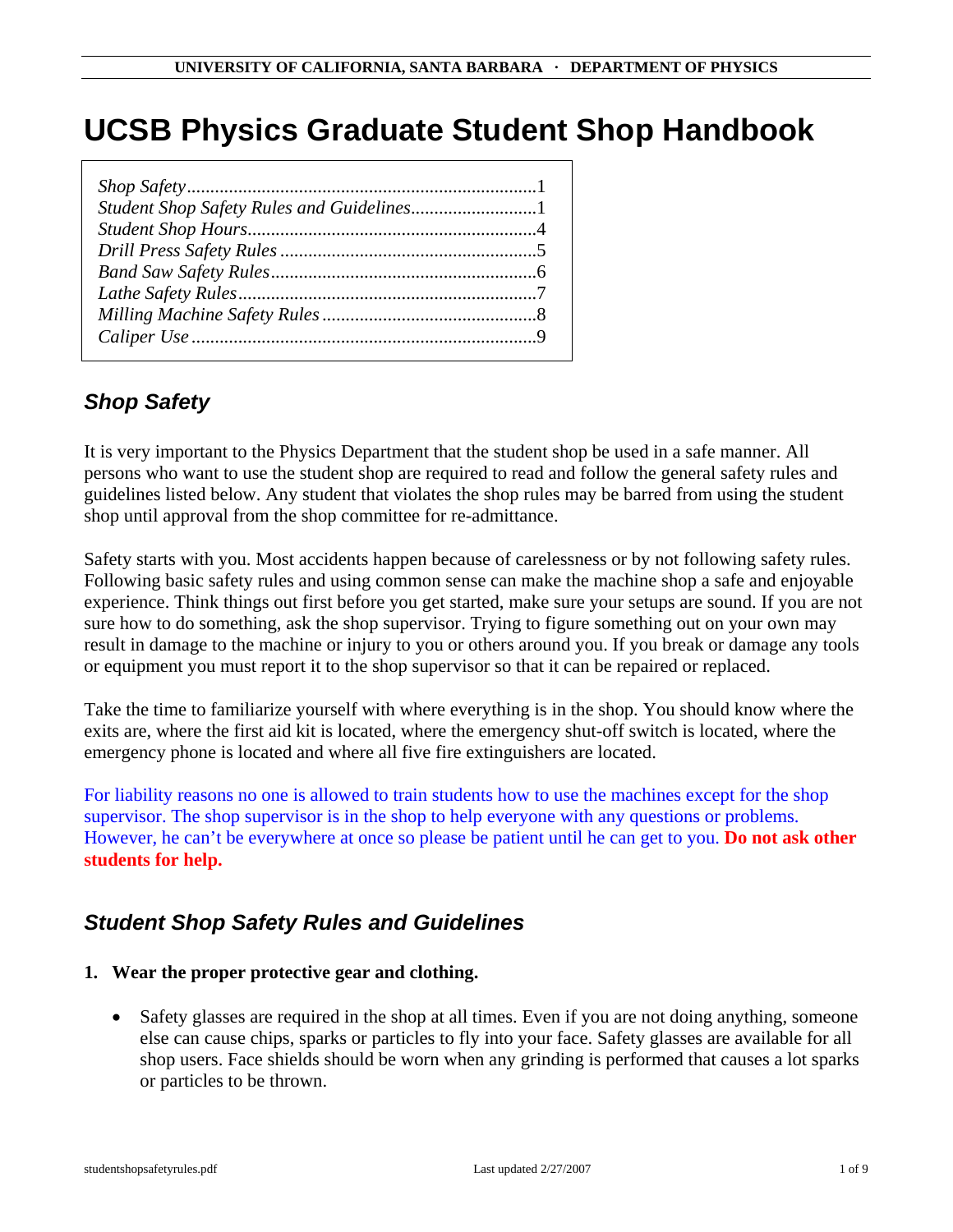# **UCSB Physics Graduate Student Shop Handbook**

# *Shop Safety*

It is very important to the Physics Department that the student shop be used in a safe manner. All persons who want to use the student shop are required to read and follow the general safety rules and guidelines listed below. Any student that violates the shop rules may be barred from using the student shop until approval from the shop committee for re-admittance.

Safety starts with you. Most accidents happen because of carelessness or by not following safety rules. Following basic safety rules and using common sense can make the machine shop a safe and enjoyable experience. Think things out first before you get started, make sure your setups are sound. If you are not sure how to do something, ask the shop supervisor. Trying to figure something out on your own may result in damage to the machine or injury to you or others around you. If you break or damage any tools or equipment you must report it to the shop supervisor so that it can be repaired or replaced.

Take the time to familiarize yourself with where everything is in the shop. You should know where the exits are, where the first aid kit is located, where the emergency shut-off switch is located, where the emergency phone is located and where all five fire extinguishers are located.

For liability reasons no one is allowed to train students how to use the machines except for the shop supervisor. The shop supervisor is in the shop to help everyone with any questions or problems. However, he can't be everywhere at once so please be patient until he can get to you. **Do not ask other students for help.** 

# *Student Shop Safety Rules and Guidelines*

#### **1. Wear the proper protective gear and clothing.**

• Safety glasses are required in the shop at all times. Even if you are not doing anything, someone else can cause chips, sparks or particles to fly into your face. Safety glasses are available for all shop users. Face shields should be worn when any grinding is performed that causes a lot sparks or particles to be thrown.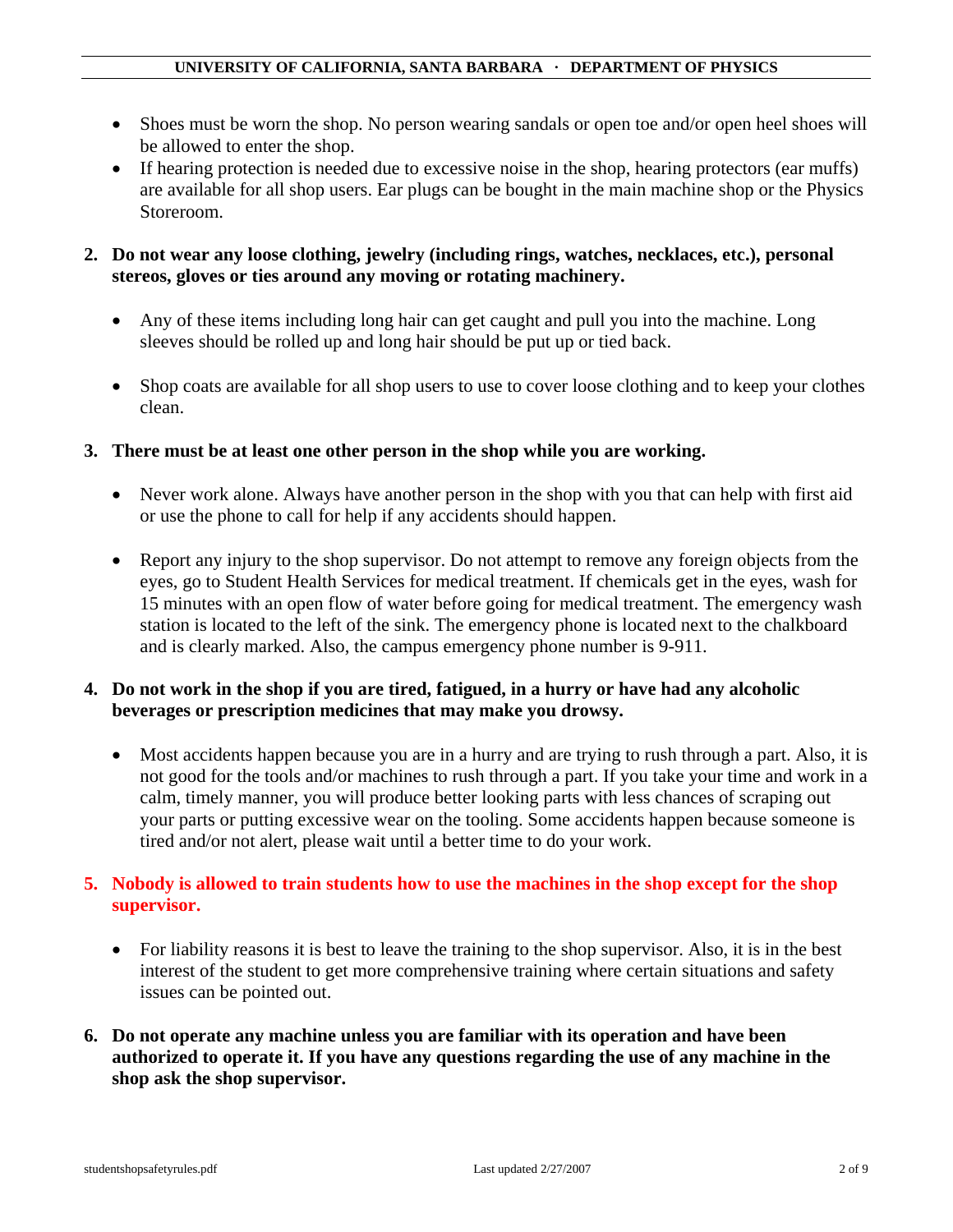- Shoes must be worn the shop. No person wearing sandals or open toe and/or open heel shoes will be allowed to enter the shop.
- If hearing protection is needed due to excessive noise in the shop, hearing protectors (ear muffs) are available for all shop users. Ear plugs can be bought in the main machine shop or the Physics Storeroom.

#### **2. Do not wear any loose clothing, jewelry (including rings, watches, necklaces, etc.), personal stereos, gloves or ties around any moving or rotating machinery.**

- Any of these items including long hair can get caught and pull you into the machine. Long sleeves should be rolled up and long hair should be put up or tied back.
- Shop coats are available for all shop users to use to cover loose clothing and to keep your clothes clean.
- **3. There must be at least one other person in the shop while you are working.** 
	- Never work alone. Always have another person in the shop with you that can help with first aid or use the phone to call for help if any accidents should happen.
	- Report any injury to the shop supervisor. Do not attempt to remove any foreign objects from the eyes, go to Student Health Services for medical treatment. If chemicals get in the eyes, wash for 15 minutes with an open flow of water before going for medical treatment. The emergency wash station is located to the left of the sink. The emergency phone is located next to the chalkboard and is clearly marked. Also, the campus emergency phone number is 9-911.

#### **4. Do not work in the shop if you are tired, fatigued, in a hurry or have had any alcoholic beverages or prescription medicines that may make you drowsy.**

• Most accidents happen because you are in a hurry and are trying to rush through a part. Also, it is not good for the tools and/or machines to rush through a part. If you take your time and work in a calm, timely manner, you will produce better looking parts with less chances of scraping out your parts or putting excessive wear on the tooling. Some accidents happen because someone is tired and/or not alert, please wait until a better time to do your work.

#### **5. Nobody is allowed to train students how to use the machines in the shop except for the shop supervisor.**

- For liability reasons it is best to leave the training to the shop supervisor. Also, it is in the best interest of the student to get more comprehensive training where certain situations and safety issues can be pointed out.
- **6. Do not operate any machine unless you are familiar with its operation and have been authorized to operate it. If you have any questions regarding the use of any machine in the shop ask the shop supervisor.**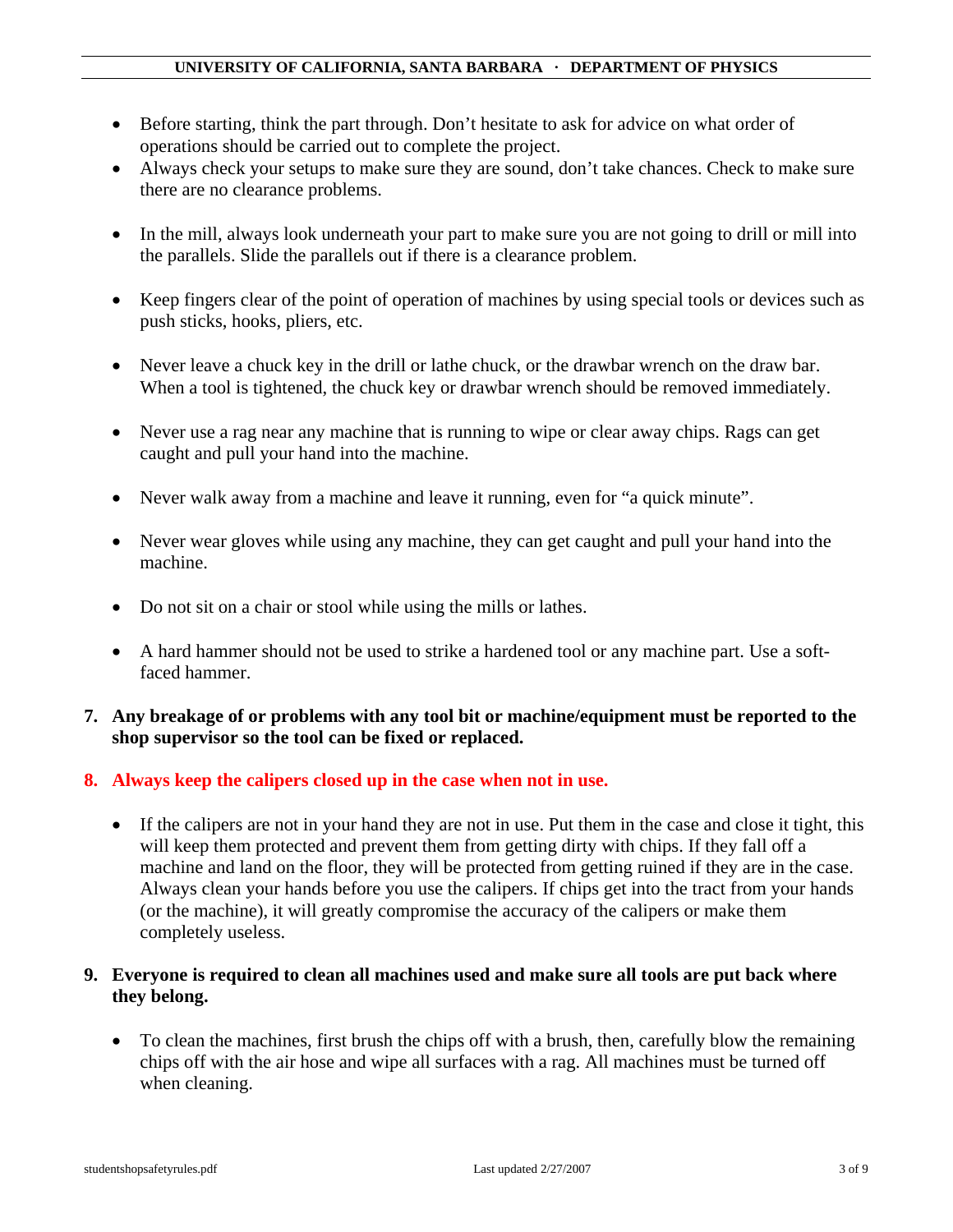- Before starting, think the part through. Don't hesitate to ask for advice on what order of operations should be carried out to complete the project.
- Always check your setups to make sure they are sound, don't take chances. Check to make sure there are no clearance problems.
- In the mill, always look underneath your part to make sure you are not going to drill or mill into the parallels. Slide the parallels out if there is a clearance problem.
- Keep fingers clear of the point of operation of machines by using special tools or devices such as push sticks, hooks, pliers, etc.
- Never leave a chuck key in the drill or lathe chuck, or the drawbar wrench on the draw bar. When a tool is tightened, the chuck key or drawbar wrench should be removed immediately.
- Never use a rag near any machine that is running to wipe or clear away chips. Rags can get caught and pull your hand into the machine.
- Never walk away from a machine and leave it running, even for "a quick minute".
- Never wear gloves while using any machine, they can get caught and pull your hand into the machine.
- Do not sit on a chair or stool while using the mills or lathes.
- A hard hammer should not be used to strike a hardened tool or any machine part. Use a softfaced hammer.
- **7. Any breakage of or problems with any tool bit or machine/equipment must be reported to the shop supervisor so the tool can be fixed or replaced.**
- **8. Always keep the calipers closed up in the case when not in use.** 
	- If the calipers are not in your hand they are not in use. Put them in the case and close it tight, this will keep them protected and prevent them from getting dirty with chips. If they fall off a machine and land on the floor, they will be protected from getting ruined if they are in the case. Always clean your hands before you use the calipers. If chips get into the tract from your hands (or the machine), it will greatly compromise the accuracy of the calipers or make them completely useless.

#### **9. Everyone is required to clean all machines used and make sure all tools are put back where they belong.**

• To clean the machines, first brush the chips off with a brush, then, carefully blow the remaining chips off with the air hose and wipe all surfaces with a rag. All machines must be turned off when cleaning.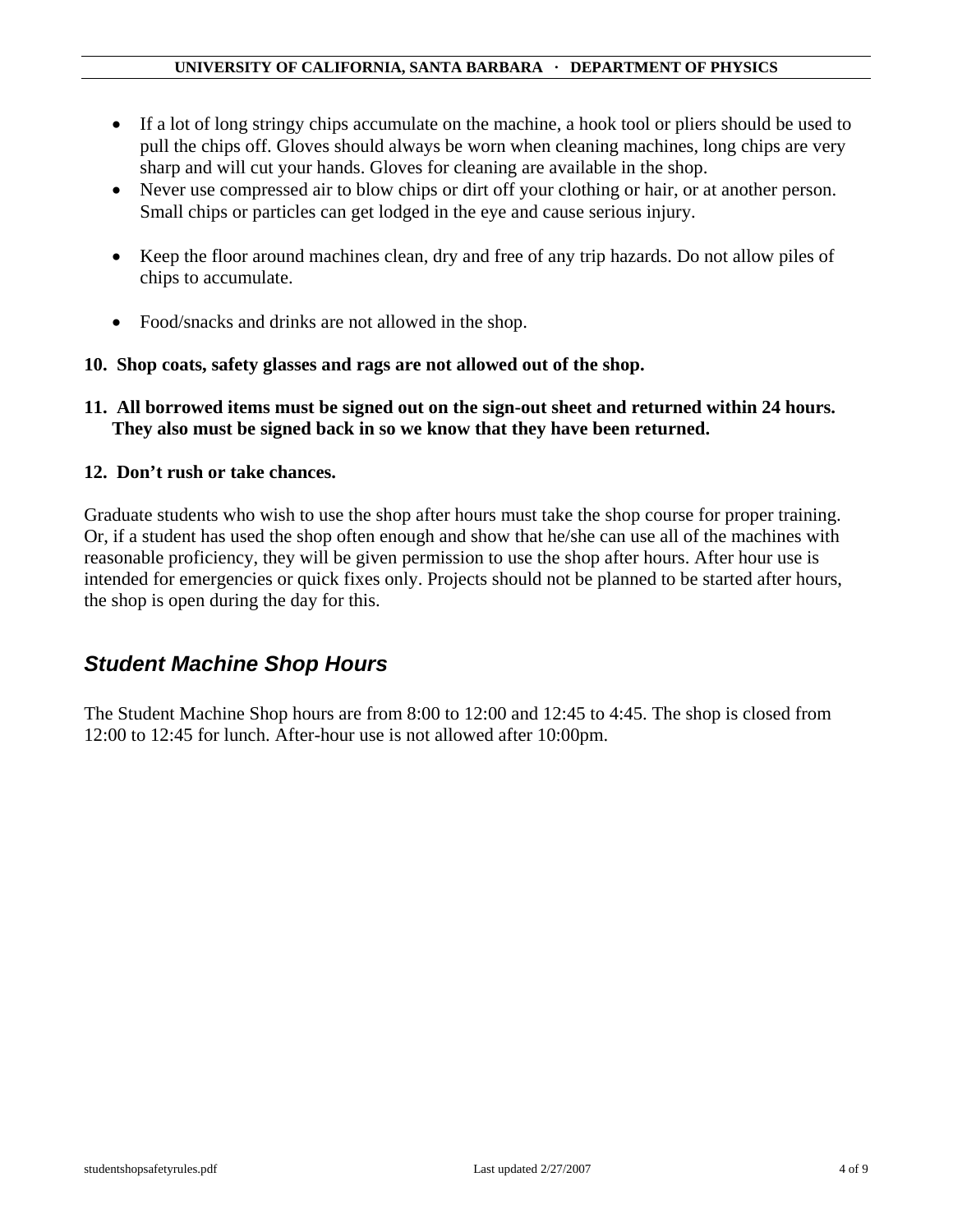- If a lot of long stringy chips accumulate on the machine, a hook tool or pliers should be used to pull the chips off. Gloves should always be worn when cleaning machines, long chips are very sharp and will cut your hands. Gloves for cleaning are available in the shop.
- Never use compressed air to blow chips or dirt off your clothing or hair, or at another person. Small chips or particles can get lodged in the eye and cause serious injury.
- Keep the floor around machines clean, dry and free of any trip hazards. Do not allow piles of chips to accumulate.
- Food/snacks and drinks are not allowed in the shop.

#### **10. Shop coats, safety glasses and rags are not allowed out of the shop.**

**11. All borrowed items must be signed out on the sign-out sheet and returned within 24 hours. They also must be signed back in so we know that they have been returned.** 

#### **12. Don't rush or take chances.**

Graduate students who wish to use the shop after hours must take the shop course for proper training. Or, if a student has used the shop often enough and show that he/she can use all of the machines with reasonable proficiency, they will be given permission to use the shop after hours. After hour use is intended for emergencies or quick fixes only. Projects should not be planned to be started after hours, the shop is open during the day for this.

### *Student Machine Shop Hours*

The Student Machine Shop hours are from 8:00 to 12:00 and 12:45 to 4:45. The shop is closed from 12:00 to 12:45 for lunch. After-hour use is not allowed after 10:00pm.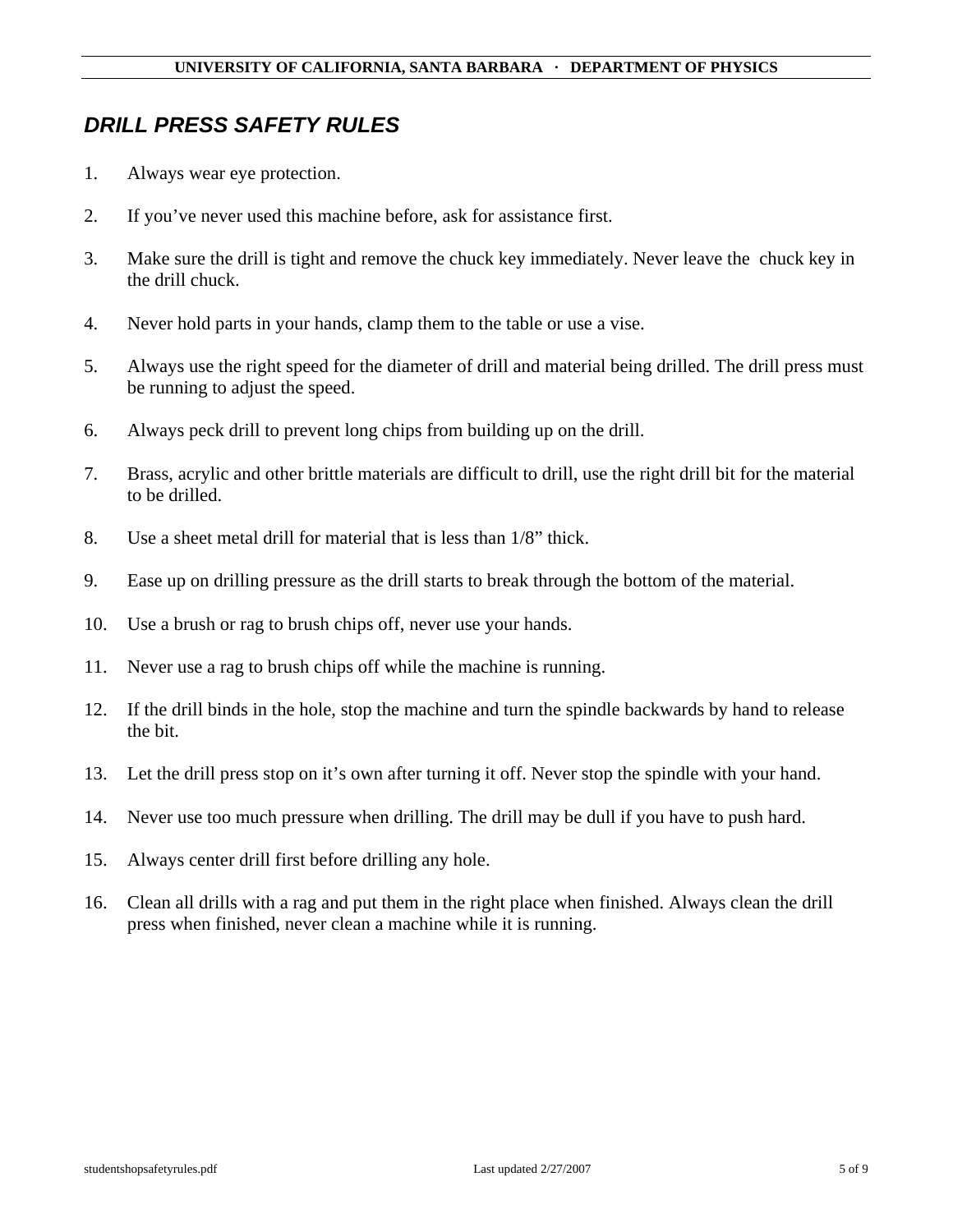## *DRILL PRESS SAFETY RULES*

- 1. Always wear eye protection.
- 2. If you've never used this machine before, ask for assistance first.
- 3. Make sure the drill is tight and remove the chuck key immediately. Never leave the chuck key in the drill chuck.
- 4. Never hold parts in your hands, clamp them to the table or use a vise.
- 5. Always use the right speed for the diameter of drill and material being drilled. The drill press must be running to adjust the speed.
- 6. Always peck drill to prevent long chips from building up on the drill.
- 7. Brass, acrylic and other brittle materials are difficult to drill, use the right drill bit for the material to be drilled.
- 8. Use a sheet metal drill for material that is less than 1/8" thick.
- 9. Ease up on drilling pressure as the drill starts to break through the bottom of the material.
- 10. Use a brush or rag to brush chips off, never use your hands.
- 11. Never use a rag to brush chips off while the machine is running.
- 12. If the drill binds in the hole, stop the machine and turn the spindle backwards by hand to release the bit.
- 13. Let the drill press stop on it's own after turning it off. Never stop the spindle with your hand.
- 14. Never use too much pressure when drilling. The drill may be dull if you have to push hard.
- 15. Always center drill first before drilling any hole.
- 16. Clean all drills with a rag and put them in the right place when finished. Always clean the drill press when finished, never clean a machine while it is running.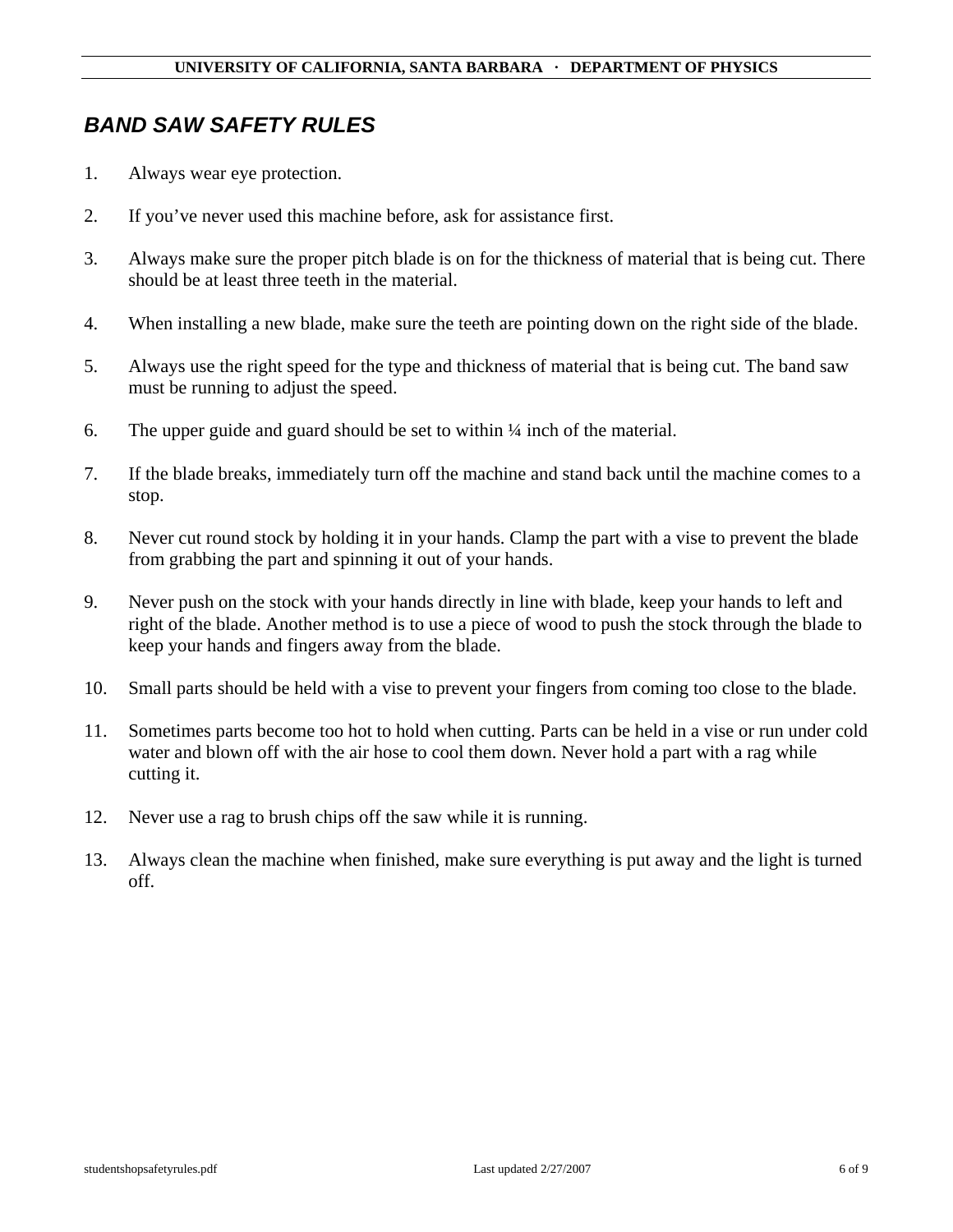### *BAND SAW SAFETY RULES*

- 1. Always wear eye protection.
- 2. If you've never used this machine before, ask for assistance first.
- 3. Always make sure the proper pitch blade is on for the thickness of material that is being cut. There should be at least three teeth in the material.
- 4. When installing a new blade, make sure the teeth are pointing down on the right side of the blade.
- 5. Always use the right speed for the type and thickness of material that is being cut. The band saw must be running to adjust the speed.
- 6. The upper guide and guard should be set to within  $\frac{1}{4}$  inch of the material.
- 7. If the blade breaks, immediately turn off the machine and stand back until the machine comes to a stop.
- 8. Never cut round stock by holding it in your hands. Clamp the part with a vise to prevent the blade from grabbing the part and spinning it out of your hands.
- 9. Never push on the stock with your hands directly in line with blade, keep your hands to left and right of the blade. Another method is to use a piece of wood to push the stock through the blade to keep your hands and fingers away from the blade.
- 10. Small parts should be held with a vise to prevent your fingers from coming too close to the blade.
- 11. Sometimes parts become too hot to hold when cutting. Parts can be held in a vise or run under cold water and blown off with the air hose to cool them down. Never hold a part with a rag while cutting it.
- 12. Never use a rag to brush chips off the saw while it is running.
- 13. Always clean the machine when finished, make sure everything is put away and the light is turned off.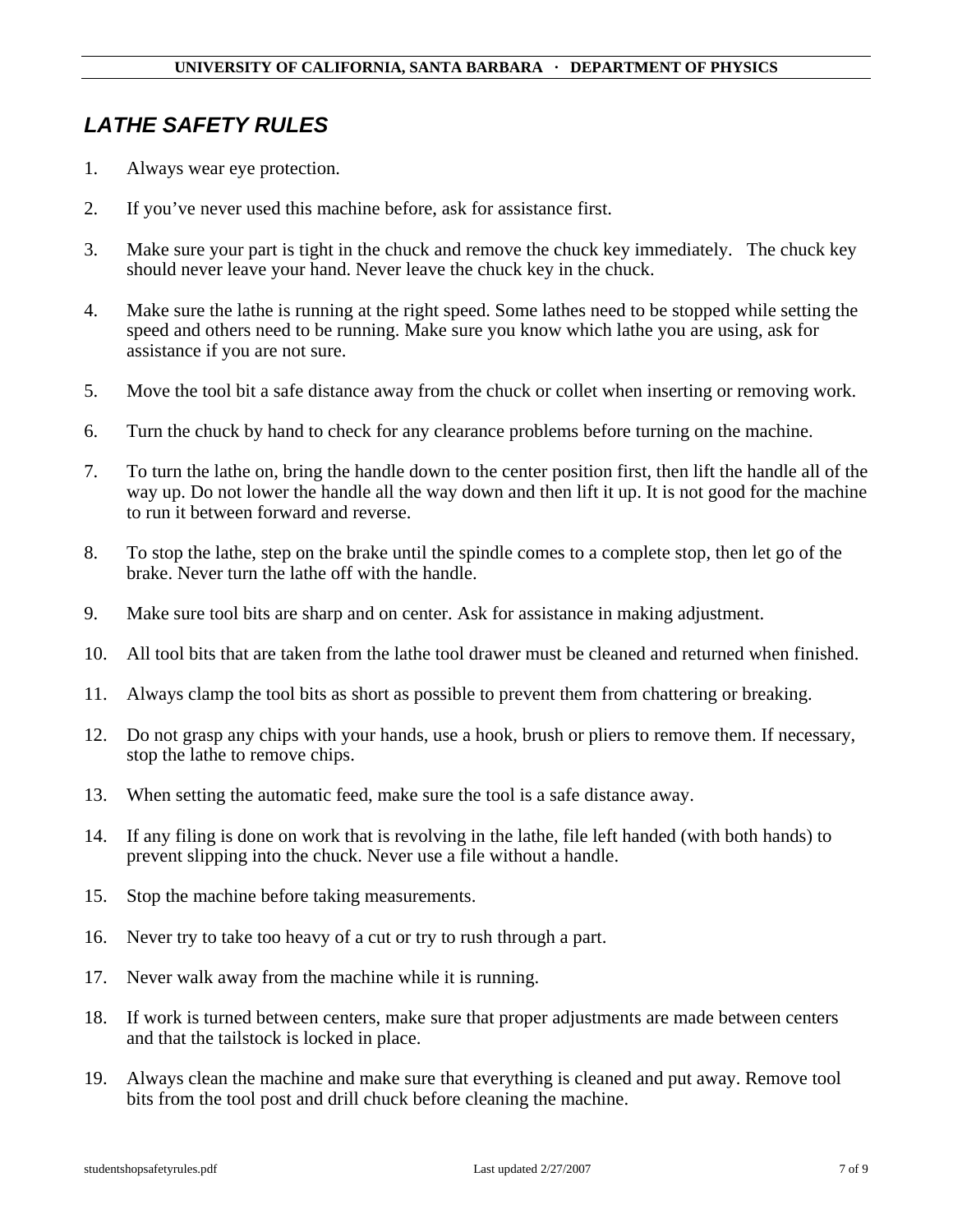# *LATHE SAFETY RULES*

- 1. Always wear eye protection.
- 2. If you've never used this machine before, ask for assistance first.
- 3. Make sure your part is tight in the chuck and remove the chuck key immediately. The chuck key should never leave your hand. Never leave the chuck key in the chuck.
- 4. Make sure the lathe is running at the right speed. Some lathes need to be stopped while setting the speed and others need to be running. Make sure you know which lathe you are using, ask for assistance if you are not sure.
- 5. Move the tool bit a safe distance away from the chuck or collet when inserting or removing work.
- 6. Turn the chuck by hand to check for any clearance problems before turning on the machine.
- 7. To turn the lathe on, bring the handle down to the center position first, then lift the handle all of the way up. Do not lower the handle all the way down and then lift it up. It is not good for the machine to run it between forward and reverse.
- 8. To stop the lathe, step on the brake until the spindle comes to a complete stop, then let go of the brake. Never turn the lathe off with the handle.
- 9. Make sure tool bits are sharp and on center. Ask for assistance in making adjustment.
- 10. All tool bits that are taken from the lathe tool drawer must be cleaned and returned when finished.
- 11. Always clamp the tool bits as short as possible to prevent them from chattering or breaking.
- 12. Do not grasp any chips with your hands, use a hook, brush or pliers to remove them. If necessary, stop the lathe to remove chips.
- 13. When setting the automatic feed, make sure the tool is a safe distance away.
- 14. If any filing is done on work that is revolving in the lathe, file left handed (with both hands) to prevent slipping into the chuck. Never use a file without a handle.
- 15. Stop the machine before taking measurements.
- 16. Never try to take too heavy of a cut or try to rush through a part.
- 17. Never walk away from the machine while it is running.
- 18. If work is turned between centers, make sure that proper adjustments are made between centers and that the tailstock is locked in place.
- 19. Always clean the machine and make sure that everything is cleaned and put away. Remove tool bits from the tool post and drill chuck before cleaning the machine.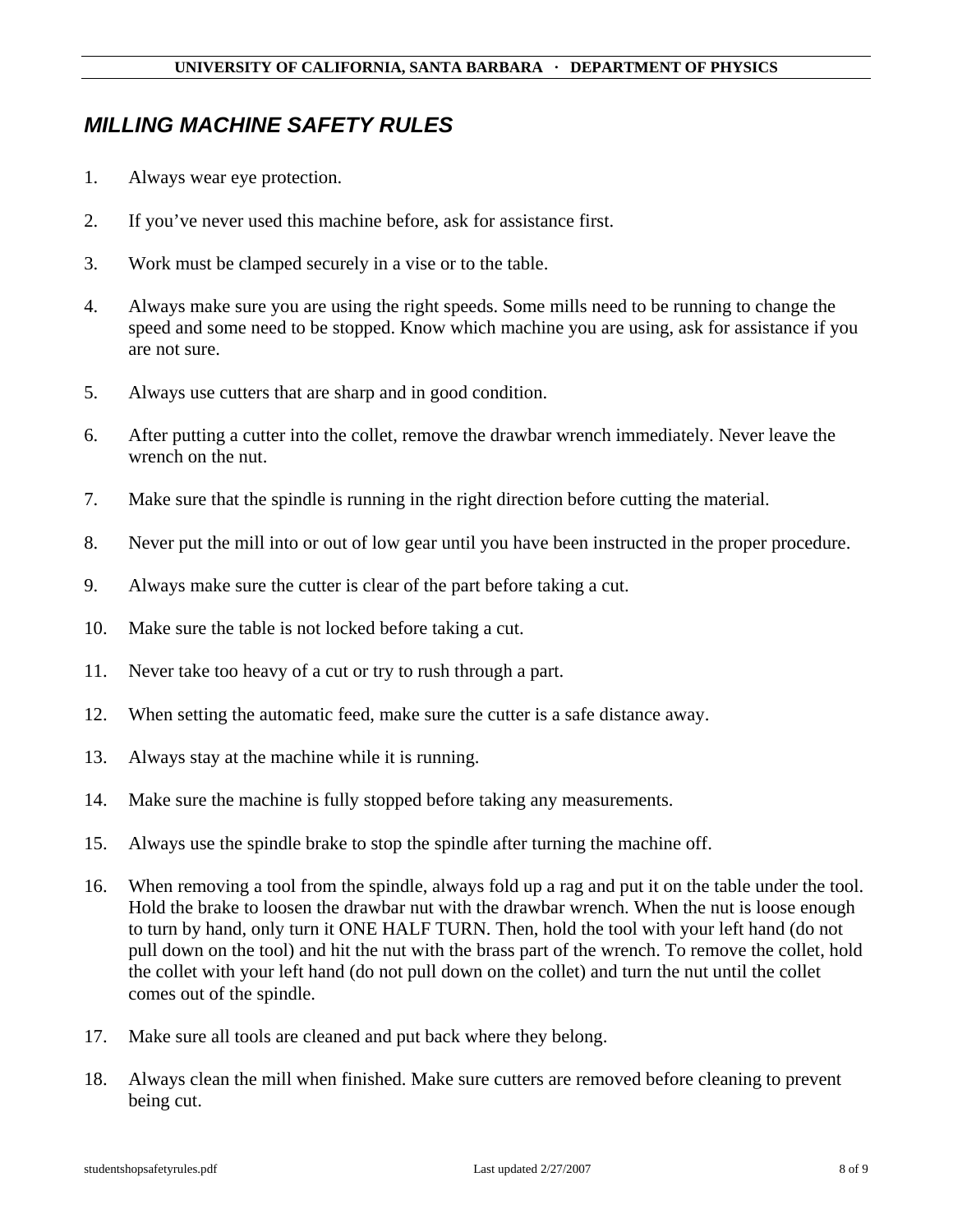# *MILLING MACHINE SAFETY RULES*

- 1. Always wear eye protection.
- 2. If you've never used this machine before, ask for assistance first.
- 3. Work must be clamped securely in a vise or to the table.
- 4. Always make sure you are using the right speeds. Some mills need to be running to change the speed and some need to be stopped. Know which machine you are using, ask for assistance if you are not sure.
- 5. Always use cutters that are sharp and in good condition.
- 6. After putting a cutter into the collet, remove the drawbar wrench immediately. Never leave the wrench on the nut.
- 7. Make sure that the spindle is running in the right direction before cutting the material.
- 8. Never put the mill into or out of low gear until you have been instructed in the proper procedure.
- 9. Always make sure the cutter is clear of the part before taking a cut.
- 10. Make sure the table is not locked before taking a cut.
- 11. Never take too heavy of a cut or try to rush through a part.
- 12. When setting the automatic feed, make sure the cutter is a safe distance away.
- 13. Always stay at the machine while it is running.
- 14. Make sure the machine is fully stopped before taking any measurements.
- 15. Always use the spindle brake to stop the spindle after turning the machine off.
- 16. When removing a tool from the spindle, always fold up a rag and put it on the table under the tool. Hold the brake to loosen the drawbar nut with the drawbar wrench. When the nut is loose enough to turn by hand, only turn it ONE HALF TURN. Then, hold the tool with your left hand (do not pull down on the tool) and hit the nut with the brass part of the wrench. To remove the collet, hold the collet with your left hand (do not pull down on the collet) and turn the nut until the collet comes out of the spindle.
- 17. Make sure all tools are cleaned and put back where they belong.
- 18. Always clean the mill when finished. Make sure cutters are removed before cleaning to prevent being cut.